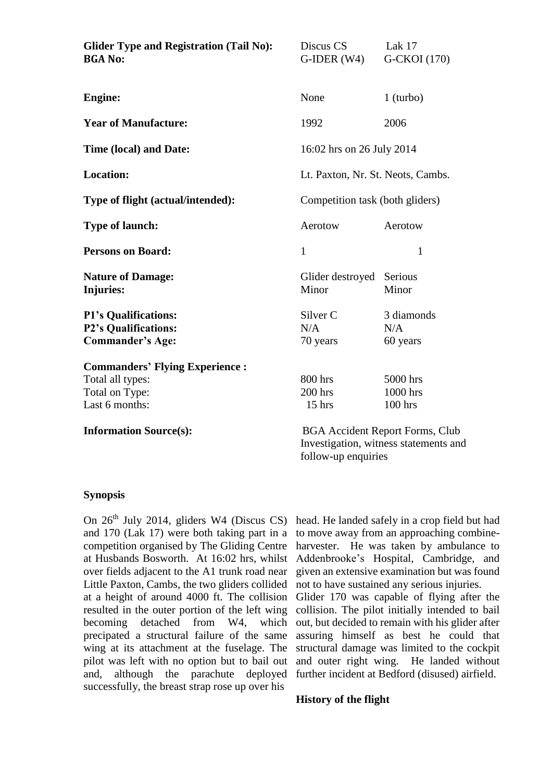| <b>Glider Type and Registration (Tail No):</b><br><b>BGA No:</b>                              | Discus CS<br>$G$ -IDER $(W4)$                                                   | Lak 17<br>G-CKOI (170)            |  |
|-----------------------------------------------------------------------------------------------|---------------------------------------------------------------------------------|-----------------------------------|--|
| <b>Engine:</b>                                                                                | None                                                                            | $1$ (turbo)                       |  |
| <b>Year of Manufacture:</b>                                                                   | 1992                                                                            | 2006                              |  |
| Time (local) and Date:                                                                        | 16:02 hrs on 26 July 2014                                                       |                                   |  |
| <b>Location:</b>                                                                              | Lt. Paxton, Nr. St. Neots, Cambs.                                               |                                   |  |
| Type of flight (actual/intended):                                                             | Competition task (both gliders)                                                 |                                   |  |
| <b>Type of launch:</b>                                                                        | Aerotow                                                                         | Aerotow                           |  |
| <b>Persons on Board:</b>                                                                      | $\mathbf{1}$                                                                    | $\mathbf{1}$                      |  |
| <b>Nature of Damage:</b><br><b>Injuries:</b>                                                  | Glider destroyed Serious<br>Minor                                               | Minor                             |  |
| <b>P1's Qualifications:</b><br><b>P2's Qualifications:</b><br><b>Commander's Age:</b>         | Silver <sub>C</sub><br>N/A<br>70 years                                          | 3 diamonds<br>N/A<br>60 years     |  |
| <b>Commanders' Flying Experience:</b><br>Total all types:<br>Total on Type:<br>Last 6 months: | 800 hrs<br>200 hrs<br>$15$ hrs                                                  | 5000 hrs<br>1000 hrs<br>$100$ hrs |  |
| <b>Information Source(s):</b>                                                                 | <b>BGA Accident Report Forms, Club</b><br>Investigation, witness statements and |                                   |  |

#### **Synopsis**

On 26<sup>th</sup> July 2014, gliders W4 (Discus CS) and 170 (Lak 17) were both taking part in a competition organised by The Gliding Centre at Husbands Bosworth. At 16:02 hrs, whilst over fields adjacent to the A1 trunk road near Little Paxton, Cambs, the two gliders collided at a height of around 4000 ft. The collision resulted in the outer portion of the left wing becoming detached from W4, which precipated a structural failure of the same wing at its attachment at the fuselage. The pilot was left with no option but to bail out and, although the parachute deployed successfully, the breast strap rose up over his

head. He landed safely in a crop field but had to move away from an approaching combineharvester. He was taken by ambulance to Addenbrooke's Hospital, Cambridge, and given an extensive examination but was found not to have sustained any serious injuries. Glider 170 was capable of flying after the collision. The pilot initially intended to bail out, but decided to remain with his glider after

assuring himself as best he could that structural damage was limited to the cockpit and outer right wing. He landed without further incident at Bedford (disused) airfield.

#### **History of the flight**

follow-up enquiries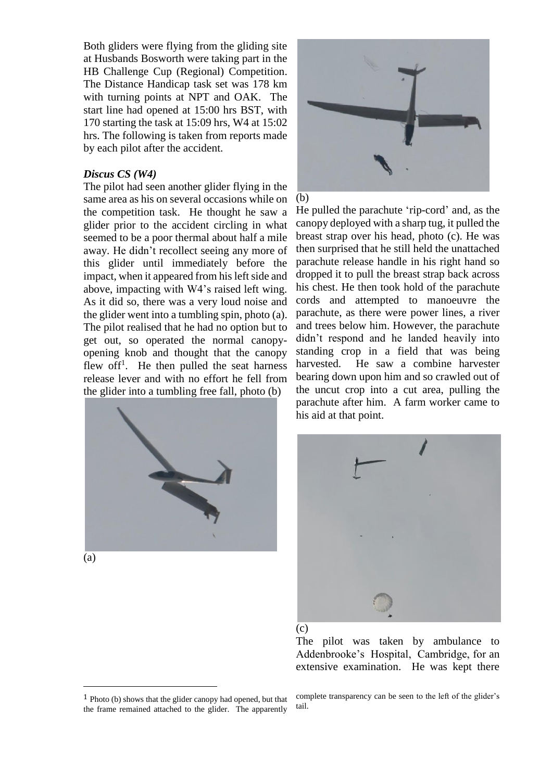Both gliders were flying from the gliding site at Husbands Bosworth were taking part in the HB Challenge Cup (Regional) Competition. The Distance Handicap task set was 178 km with turning points at NPT and OAK. The start line had opened at 15:00 hrs BST, with 170 starting the task at 15:09 hrs, W4 at 15:02 hrs. The following is taken from reports made by each pilot after the accident.

### *Discus CS (W4)*

The pilot had seen another glider flying in the same area as his on several occasions while on the competition task. He thought he saw a glider prior to the accident circling in what seemed to be a poor thermal about half a mile away. He didn't recollect seeing any more of this glider until immediately before the impact, when it appeared from his left side and above, impacting with W4's raised left wing. As it did so, there was a very loud noise and the glider went into a tumbling spin, photo (a). The pilot realised that he had no option but to get out, so operated the normal canopyopening knob and thought that the canopy flew off<sup>1</sup>. He then pulled the seat harness release lever and with no effort he fell from the glider into a tumbling free fall, photo (b)



(a)

 $\overline{a}$ 



(b)

He pulled the parachute 'rip-cord' and, as the canopy deployed with a sharp tug, it pulled the breast strap over his head, photo (c). He was then surprised that he still held the unattached parachute release handle in his right hand so dropped it to pull the breast strap back across his chest. He then took hold of the parachute cords and attempted to manoeuvre the parachute, as there were power lines, a river and trees below him. However, the parachute didn't respond and he landed heavily into standing crop in a field that was being harvested. He saw a combine harvester bearing down upon him and so crawled out of the uncut crop into a cut area, pulling the parachute after him. A farm worker came to his aid at that point.



(c)

The pilot was taken by ambulance to Addenbrooke's Hospital, Cambridge, for an extensive examination. He was kept there

complete transparency can be seen to the left of the glider's tail.

<sup>1</sup> Photo (b) shows that the glider canopy had opened, but that the frame remained attached to the glider. The apparently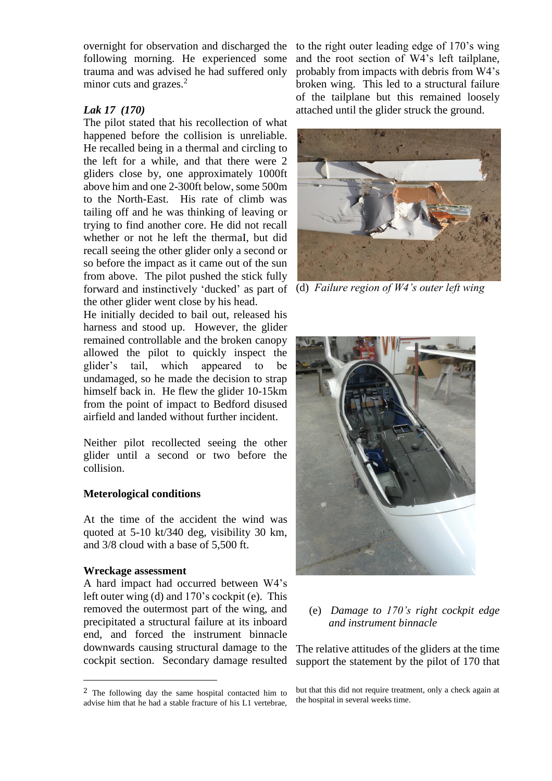overnight for observation and discharged the following morning. He experienced some trauma and was advised he had suffered only minor cuts and grazes.<sup>2</sup>

## *Lak 17 (170)*

The pilot stated that his recollection of what happened before the collision is unreliable. He recalled being in a thermal and circling to the left for a while, and that there were 2 gliders close by, one approximately 1000ft above him and one 2-300ft below, some 500m to the North-East. His rate of climb was tailing off and he was thinking of leaving or trying to find another core. He did not recall whether or not he left the thermaI, but did recall seeing the other glider only a second or so before the impact as it came out of the sun from above. The pilot pushed the stick fully forward and instinctively 'ducked' as part of (d) *Failure region of W4's outer left wing* the other glider went close by his head.

He initially decided to bail out, released his harness and stood up. However, the glider remained controllable and the broken canopy allowed the pilot to quickly inspect the glider's tail, which appeared to be undamaged, so he made the decision to strap himself back in. He flew the glider 10-15km from the point of impact to Bedford disused airfield and landed without further incident.

Neither pilot recollected seeing the other glider until a second or two before the collision.

#### **Meterological conditions**

At the time of the accident the wind was quoted at 5-10 kt/340 deg, visibility 30 km, and 3/8 cloud with a base of 5,500 ft.

#### **Wreckage assessment**

 $\overline{a}$ 

A hard impact had occurred between W4's left outer wing (d) and 170's cockpit (e). This removed the outermost part of the wing, and precipitated a structural failure at its inboard end, and forced the instrument binnacle downwards causing structural damage to the cockpit section. Secondary damage resulted

to the right outer leading edge of 170's wing and the root section of W4's left tailplane, probably from impacts with debris from W4's broken wing. This led to a structural failure of the tailplane but this remained loosely attached until the glider struck the ground.





(e) *Damage to 170's right cockpit edge and instrument binnacle*

The relative attitudes of the gliders at the time support the statement by the pilot of 170 that

but that this did not require treatment, only a check again at the hospital in several weeks time.

<sup>&</sup>lt;sup>2</sup> The following day the same hospital contacted him to advise him that he had a stable fracture of his L1 vertebrae,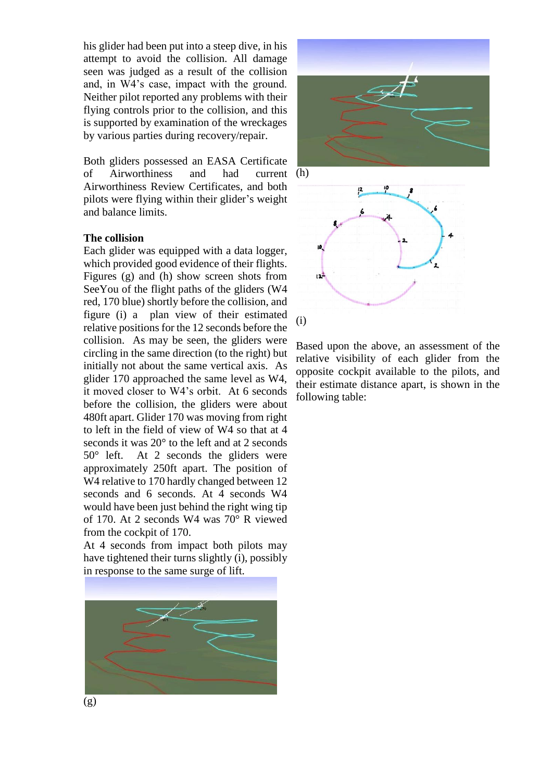his glider had been put into a steep dive, in his attempt to avoid the collision. All damage seen was judged as a result of the collision and, in W4's case, impact with the ground. Neither pilot reported any problems with their flying controls prior to the collision, and this is supported by examination of the wreckages by various parties during recovery/repair.

Both gliders possessed an EASA Certificate of Airworthiness and had Airworthiness Review Certificates, and both pilots were flying within their glider's weight and balance limits. current (h)

### **The collision**

Each glider was equipped with a data logger, which provided good evidence of their flights. Figures (g) and (h) show screen shots from SeeYou of the flight paths of the gliders (W4 red, 170 blue) shortly before the collision, and figure (i) a plan view of their estimated relative positions for the 12 seconds before the collision. As may be seen, the gliders were circling in the same direction (to the right) but initially not about the same vertical axis. As glider 170 approached the same level as W4, it moved closer to W4's orbit. At 6 seconds before the collision, the gliders were about 480ft apart. Glider 170 was moving from right to left in the field of view of W4 so that at 4 seconds it was 20° to the left and at 2 seconds 50° left. At 2 seconds the gliders were approximately 250ft apart. The position of W<sub>4</sub> relative to 170 hardly changed between 12 seconds and 6 seconds. At 4 seconds W4 would have been just behind the right wing tip of 170. At 2 seconds W4 was 70° R viewed from the cockpit of 170.

At 4 seconds from impact both pilots may have tightened their turns slightly (i), possibly in response to the same surge of lift.







Based upon the above, an assessment of the relative visibility of each glider from the opposite cockpit available to the pilots, and their estimate distance apart, is shown in the following table: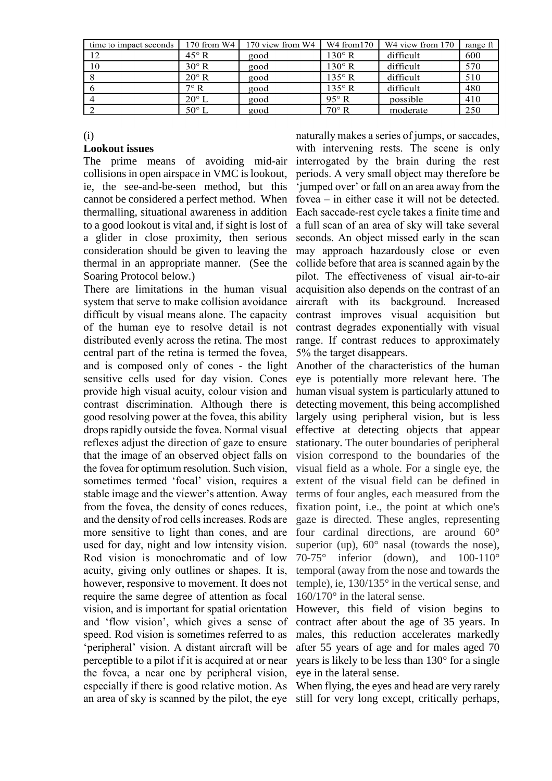| time to impact seconds | 170 from W4    | 170 view from W4 | W4 from 170    | W <sub>4</sub> view from 170 | range ft |
|------------------------|----------------|------------------|----------------|------------------------------|----------|
| 12                     | $45^\circ$ R   | good             | $130^\circ$ R  | difficult                    | 600      |
| 10                     | $30^\circ$ R   | good             | $130^\circ$ R  | difficult                    | 570      |
|                        | $20^{\circ}$ R | good             | $135^\circ$ R  | difficult                    | 510      |
|                        | $7^\circ$ R    | good             | $135^\circ$ R  | difficult                    | 480      |
|                        | $20^{\circ}$ L | good             | $95^\circ R$   | possible                     | 410      |
|                        | $50^{\circ}$ L | good             | $70^{\circ}$ R | moderate                     | 250      |

(i)

#### **Lookout issues**

The prime means of avoiding mid-air collisions in open airspace in VMC is lookout, ie, the see-and-be-seen method, but this cannot be considered a perfect method. When thermalling, situational awareness in addition to a good lookout is vital and, if sight is lost of a glider in close proximity, then serious consideration should be given to leaving the thermal in an appropriate manner. (See the Soaring Protocol below.)

There are limitations in the human visual system that serve to make collision avoidance difficult by visual means alone. The capacity of the human eye to resolve detail is not distributed evenly across the retina. The most central part of the retina is termed the fovea, and is composed only of cones - the light sensitive cells used for day vision. Cones provide high visual acuity, colour vision and contrast discrimination. Although there is good resolving power at the fovea, this ability drops rapidly outside the fovea. Normal visual reflexes adjust the direction of gaze to ensure that the image of an observed object falls on the fovea for optimum resolution. Such vision, sometimes termed 'focal' vision, requires a stable image and the viewer's attention. Away from the fovea, the density of cones reduces, and the density of rod cells increases. Rods are more sensitive to light than cones, and are used for day, night and low intensity vision. Rod vision is monochromatic and of low acuity, giving only outlines or shapes. It is, however, responsive to movement. It does not require the same degree of attention as focal vision, and is important for spatial orientation and 'flow vision', which gives a sense of speed. Rod vision is sometimes referred to as 'peripheral' vision. A distant aircraft will be perceptible to a pilot if it is acquired at or near the fovea, a near one by peripheral vision, especially if there is good relative motion. As

naturally makes a series of jumps, or saccades, with intervening rests. The scene is only interrogated by the brain during the rest periods. A very small object may therefore be 'jumped over' or fall on an area away from the fovea – in either case it will not be detected. Each saccade-rest cycle takes a finite time and a full scan of an area of sky will take several seconds. An object missed early in the scan may approach hazardously close or even collide before that area is scanned again by the pilot. The effectiveness of visual air-to-air acquisition also depends on the contrast of an aircraft with its background. Increased contrast improves visual acquisition but contrast degrades exponentially with visual range. If contrast reduces to approximately 5% the target disappears.

Another of the characteristics of the human eye is potentially more relevant here. The human visual system is particularly attuned to detecting movement, this being accomplished largely using peripheral vision, but is less effective at detecting objects that appear stationary. The outer boundaries of peripheral vision correspond to the boundaries of the visual field as a whole. For a single eye, the extent of the visual field can be defined in terms of four angles, each measured from the fixation point, i.e., the point at which one's gaze is directed. These angles, representing four cardinal directions, are around 60° superior (up),  $60^\circ$  nasal (towards the nose), 70-75° inferior (down), and 100-110° temporal (away from the nose and towards the temple), ie, 130/135° in the vertical sense, and 160/170° in the lateral sense.

However, this field of vision begins to contract after about the age of 35 years. In males, this reduction accelerates markedly after 55 years of age and for males aged 70 years is likely to be less than 130° for a single eye in the lateral sense.

an area of sky is scanned by the pilot, the eye still for very long except, critically perhaps,When flying, the eyes and head are very rarely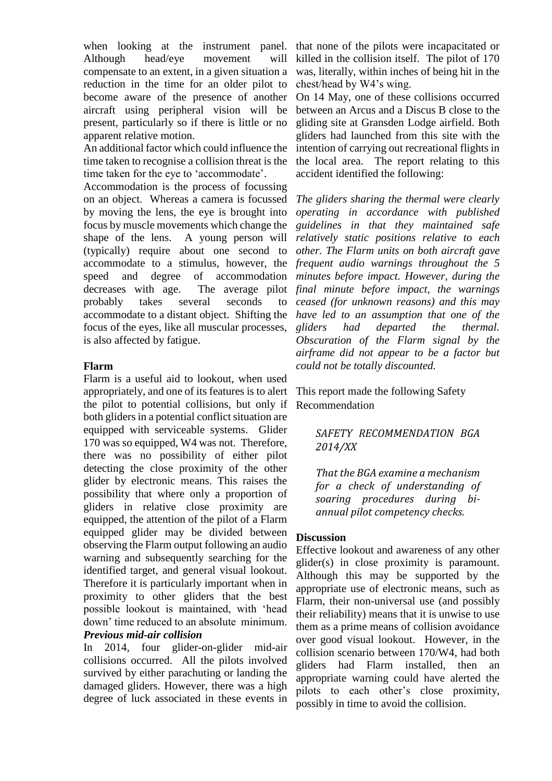when looking at the instrument panel. that none of the pilots were incapacitated or Although head/eye movement will compensate to an extent, in a given situation a reduction in the time for an older pilot to become aware of the presence of another aircraft using peripheral vision will be present, particularly so if there is little or no apparent relative motion.

An additional factor which could influence the time taken to recognise a collision threat is the time taken for the eye to 'accommodate'.

Accommodation is the process of focussing on an object. Whereas a camera is focussed by moving the lens, the eye is brought into focus by muscle movements which change the shape of the lens. A young person will (typically) require about one second to accommodate to a stimulus, however, the *frequent audio warnings throughout the 5*  speed and degree of accommodation decreases with age. probably takes several seconds to accommodate to a distant object. Shifting the focus of the eyes, like all muscular processes, is also affected by fatigue.

### **Flarm**

Flarm is a useful aid to lookout, when used appropriately, and one of its features is to alert the pilot to potential collisions, but only if both gliders in a potential conflict situation are equipped with serviceable systems. Glider 170 was so equipped, W4 was not. Therefore, there was no possibility of either pilot detecting the close proximity of the other glider by electronic means. This raises the possibility that where only a proportion of gliders in relative close proximity are equipped, the attention of the pilot of a Flarm equipped glider may be divided between observing the Flarm output following an audio warning and subsequently searching for the identified target, and general visual lookout. Therefore it is particularly important when in proximity to other gliders that the best possible lookout is maintained, with 'head down' time reduced to an absolute minimum. *Previous mid-air collision*

In 2014, four glider-on-glider mid-air collisions occurred. All the pilots involved survived by either parachuting or landing the damaged gliders. However, there was a high degree of luck associated in these events in

killed in the collision itself. The pilot of 170 was, literally, within inches of being hit in the chest/head by W4's wing.

On 14 May, one of these collisions occurred between an Arcus and a Discus B close to the gliding site at Gransden Lodge airfield. Both gliders had launched from this site with the intention of carrying out recreational flights in the local area. The report relating to this accident identified the following:

*The gliders sharing the thermal were clearly operating in accordance with published guidelines in that they maintained safe relatively static positions relative to each other. The Flarm units on both aircraft gave minutes before impact. However, during the final minute before impact, the warnings ceased (for unknown reasons) and this may have led to an assumption that one of the gliders had departed the thermal. Obscuration of the Flarm signal by the airframe did not appear to be a factor but could not be totally discounted.* 

> This report made the following Safety Recommendation

# *SAFETY RECOMMENDATION BGA 2014/XX*

*That the BGA examine a mechanism for a check of understanding of soaring procedures during biannual pilot competency checks.* 

## **Discussion**

Effective lookout and awareness of any other glider(s) in close proximity is paramount. Although this may be supported by the appropriate use of electronic means, such as Flarm, their non-universal use (and possibly their reliability) means that it is unwise to use them as a prime means of collision avoidance over good visual lookout. However, in the collision scenario between 170/W4, had both gliders had Flarm installed, then an appropriate warning could have alerted the pilots to each other's close proximity, possibly in time to avoid the collision.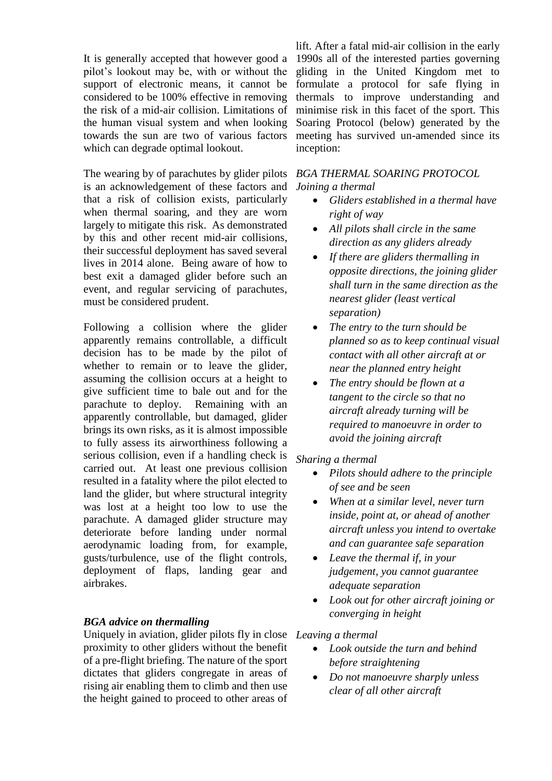It is generally accepted that however good a pilot's lookout may be, with or without the support of electronic means, it cannot be considered to be 100% effective in removing the risk of a mid-air collision. Limitations of the human visual system and when looking towards the sun are two of various factors which can degrade optimal lookout.

The wearing by of parachutes by glider pilots is an acknowledgement of these factors and that a risk of collision exists, particularly when thermal soaring, and they are worn largely to mitigate this risk. As demonstrated by this and other recent mid-air collisions, their successful deployment has saved several lives in 2014 alone. Being aware of how to best exit a damaged glider before such an event, and regular servicing of parachutes, must be considered prudent.

Following a collision where the glider apparently remains controllable, a difficult decision has to be made by the pilot of whether to remain or to leave the glider, assuming the collision occurs at a height to give sufficient time to bale out and for the parachute to deploy. Remaining with an apparently controllable, but damaged, glider brings its own risks, as it is almost impossible to fully assess its airworthiness following a serious collision, even if a handling check is carried out. At least one previous collision resulted in a fatality where the pilot elected to land the glider, but where structural integrity was lost at a height too low to use the parachute. A damaged glider structure may deteriorate before landing under normal aerodynamic loading from, for example, gusts/turbulence, use of the flight controls, deployment of flaps, landing gear and airbrakes.

## *BGA advice on thermalling*

Uniquely in aviation, glider pilots fly in close *Leaving a thermal* proximity to other gliders without the benefit of a pre-flight briefing. The nature of the sport dictates that gliders congregate in areas of rising air enabling them to climb and then use the height gained to proceed to other areas of

lift. After a fatal mid-air collision in the early 1990s all of the interested parties governing gliding in the United Kingdom met to formulate a protocol for safe flying in thermals to improve understanding and minimise risk in this facet of the sport. This Soaring Protocol (below) generated by the meeting has survived un-amended since its inception:

### *BGA THERMAL SOARING PROTOCOL Joining a thermal*

- *Gliders established in a thermal have right of way*
- *All pilots shall circle in the same direction as any gliders already*
- *If there are gliders thermalling in opposite directions, the joining glider shall turn in the same direction as the nearest glider (least vertical separation)*
- *The entry to the turn should be planned so as to keep continual visual contact with all other aircraft at or near the planned entry height*
- *The entry should be flown at a tangent to the circle so that no aircraft already turning will be required to manoeuvre in order to avoid the joining aircraft*

### *Sharing a thermal*

- *Pilots should adhere to the principle of see and be seen*
- *When at a similar level, never turn inside, point at, or ahead of another aircraft unless you intend to overtake and can guarantee safe separation*
- *Leave the thermal if, in your judgement, you cannot guarantee adequate separation*
- *Look out for other aircraft joining or converging in height*

- *Look outside the turn and behind before straightening*
- *Do not manoeuvre sharply unless clear of all other aircraft*